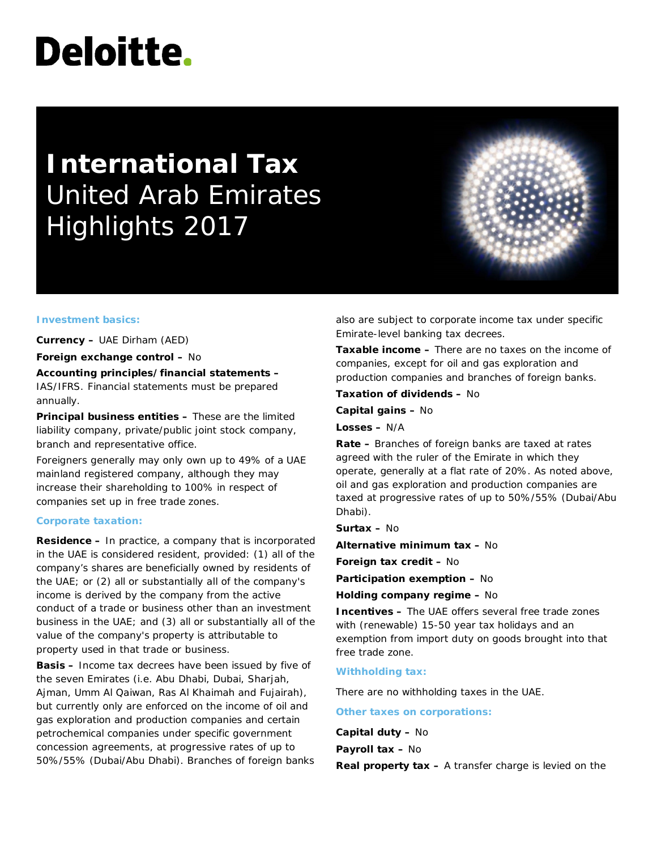# Deloitte.

# **International Tax** United Arab Emirates Highlights 2017

#### **Investment basics:**

**Currency –** UAE Dirham (AED)

**Foreign exchange control –** No

**Accounting principles/financial statements –** IAS/IFRS. Financial statements must be prepared annually.

**Principal business entities –** These are the limited liability company, private/public joint stock company, branch and representative office.

Foreigners generally may only own up to 49% of a UAE mainland registered company, although they may increase their shareholding to 100% in respect of companies set up in free trade zones.

#### **Corporate taxation:**

**Residence –** In practice, a company that is incorporated in the UAE is considered resident, provided: (1) all of the company's shares are beneficially owned by residents of the UAE; or (2) all or substantially all of the company's income is derived by the company from the active conduct of a trade or business other than an investment business in the UAE; and (3) all or substantially all of the value of the company's property is attributable to property used in that trade or business.

**Basis –** Income tax decrees have been issued by five of the seven Emirates (i.e. Abu Dhabi, Dubai, Sharjah, Ajman, Umm Al Qaiwan, Ras Al Khaimah and Fujairah), but currently only are enforced on the income of oil and gas exploration and production companies and certain petrochemical companies under specific government concession agreements, at progressive rates of up to 50%/55% (Dubai/Abu Dhabi). Branches of foreign banks also are subject to corporate income tax under specific Emirate-level banking tax decrees.

**Taxable income –** There are no taxes on the income of companies, except for oil and gas exploration and production companies and branches of foreign banks.

**Taxation of dividends –** No

**Capital gains –** No

**Losses –** N/A

**Rate –** Branches of foreign banks are taxed at rates agreed with the ruler of the Emirate in which they operate, generally at a flat rate of 20%. As noted above, oil and gas exploration and production companies are taxed at progressive rates of up to 50%/55% (Dubai/Abu Dhabi).

**Surtax –** No

**Alternative minimum tax –** No

**Foreign tax credit –** No

**Participation exemption –** No

**Holding company regime –** No

**Incentives –** The UAE offers several free trade zones with (renewable) 15-50 year tax holidays and an exemption from import duty on goods brought into that free trade zone.

# **Withholding tax:**

There are no withholding taxes in the UAE.

**Other taxes on corporations:**

**Capital duty –** No **Payroll tax –** No

**Real property tax –** A transfer charge is levied on the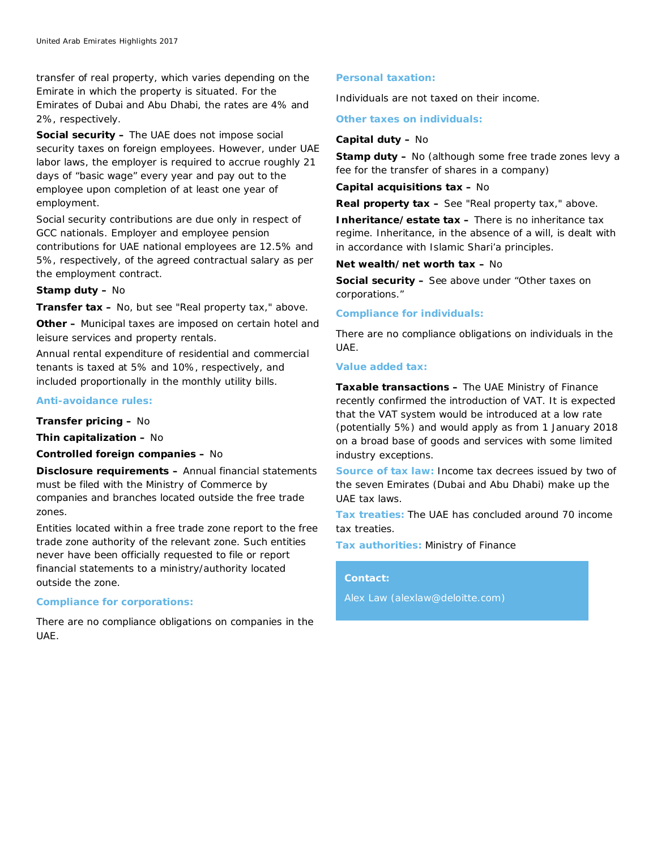transfer of real property, which varies depending on the Emirate in which the property is situated. For the Emirates of Dubai and Abu Dhabi, the rates are 4% and 2%, respectively.

**Social security –** The UAE does not impose social security taxes on foreign employees. However, under UAE labor laws, the employer is required to accrue roughly 21 days of "basic wage" every year and pay out to the employee upon completion of at least one year of employment.

Social security contributions are due only in respect of GCC nationals. Employer and employee pension contributions for UAE national employees are 12.5% and 5%, respectively, of the agreed contractual salary as per the employment contract.

#### **Stamp duty –** No

**Transfer tax –** No, but see "Real property tax," above.

**Other –** Municipal taxes are imposed on certain hotel and leisure services and property rentals.

Annual rental expenditure of residential and commercial tenants is taxed at 5% and 10%, respectively, and included proportionally in the monthly utility bills.

### **Anti-avoidance rules:**

**Transfer pricing –** No

**Thin capitalization –** No

#### **Controlled foreign companies –** No

**Disclosure requirements –** Annual financial statements must be filed with the Ministry of Commerce by companies and branches located outside the free trade zones.

Entities located within a free trade zone report to the free trade zone authority of the relevant zone. Such entities never have been officially requested to file or report financial statements to a ministry/authority located outside the zone.

# **Compliance for corporations:**

There are no compliance obligations on companies in the UAE.

#### **Personal taxation:**

Individuals are not taxed on their income.

# **Other taxes on individuals:**

#### **Capital duty –** No

**Stamp duty –** No (although some free trade zones levy a fee for the transfer of shares in a company)

#### **Capital acquisitions tax –** No

**Real property tax –** See "Real property tax," above.

**Inheritance/estate tax –** There is no inheritance tax regime. Inheritance, in the absence of a will, is dealt with in accordance with Islamic Shari'a principles.

# **Net wealth/net worth tax –** No

**Social security –** See above under "Other taxes on corporations."

#### **Compliance for individuals:**

There are no compliance obligations on individuals in the UAE.

# **Value added tax:**

**Taxable transactions –** The UAE Ministry of Finance recently confirmed the introduction of VAT. It is expected that the VAT system would be introduced at a low rate (potentially 5%) and would apply as from 1 January 2018 on a broad base of goods and services with some limited industry exceptions.

**Source of tax law:** Income tax decrees issued by two of the seven Emirates (Dubai and Abu Dhabi) make up the UAE tax laws.

**Tax treaties:** The UAE has concluded around 70 income tax treaties.

**Tax authorities:** Ministry of Finance

# **Contact:**

Alex Law [\(alexlaw@deloitte.com\)](mailto:%20alexlaw@deloitte.com)